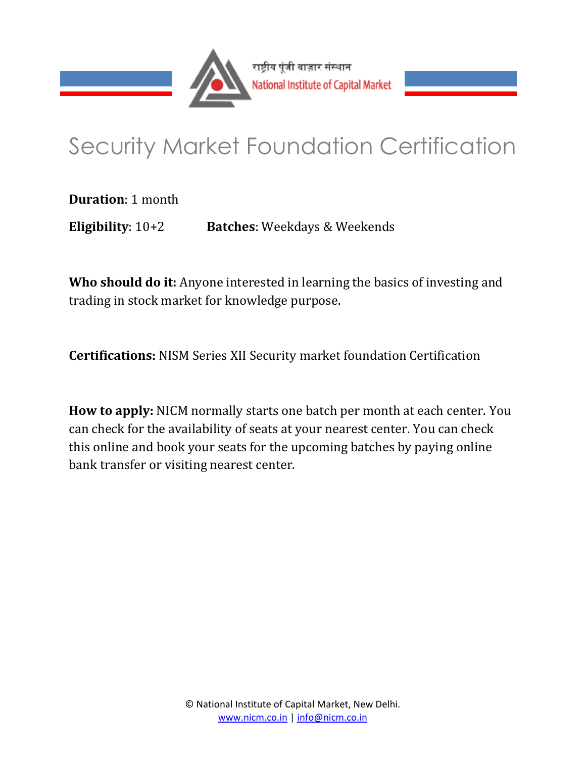

## Security Market Foundation Certification

**Duration**: 1 month

**Eligibility**: 10+2 **Batches**: Weekdays & Weekends

**Who should do it:** Anyone interested in learning the basics of investing and trading in stock market for knowledge purpose.

**Certifications:** NISM Series XII Security market foundation Certification

**How to apply:** NICM normally starts one batch per month at each center. You can check for the availability of seats at your nearest center. You can check this online and book your seats for the upcoming batches by paying online bank transfer or visiting nearest center.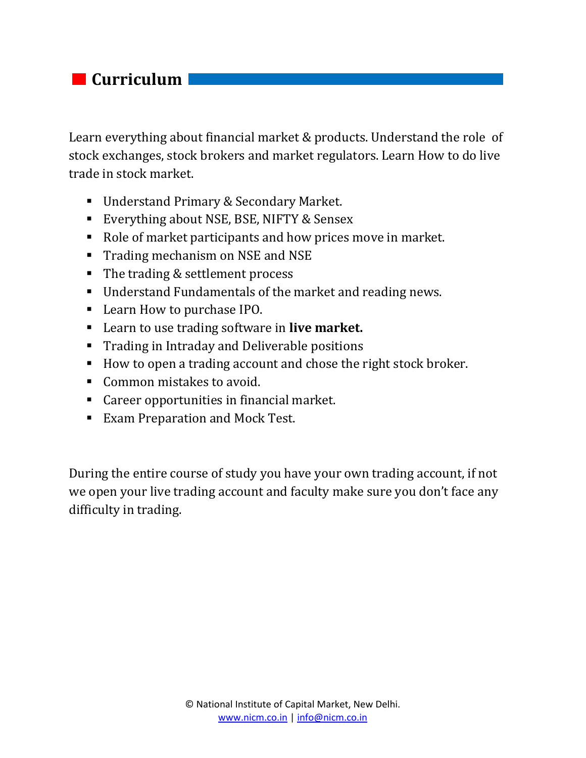## *Curriculum*

Learn everything about financial market & products. Understand the role of stock exchanges, stock brokers and market regulators. Learn How to do live trade in stock market.

- **Understand Primary & Secondary Market.**
- **EVERTHING ABOUT NSE, BSE, NIFTY & Sensex**
- Role of market participants and how prices move in market.
- **Trading mechanism on NSE and NSE**
- The trading & settlement process
- Understand Fundamentals of the market and reading news.
- Learn How to purchase IPO.
- Learn to use trading software in **live market.**
- **Trading in Intraday and Deliverable positions**
- How to open a trading account and chose the right stock broker.
- Common mistakes to avoid.
- Career opportunities in financial market.
- **Exam Preparation and Mock Test.**

During the entire course of study you have your own trading account, if not we open your live trading account and faculty make sure you don't face any difficulty in trading.